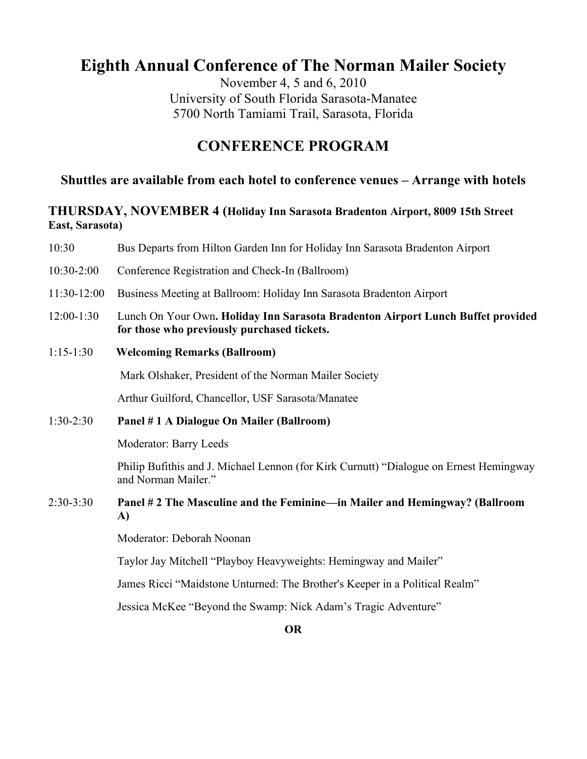# **Eighth Annual Conference of The Norman Mailer Society**

November 4, 5 and 6, 2010 University of South Florida Sarasota-Manatee 5700 North Tamiami Trail, Sarasota, Florida

## **CONFERENCE PROGRAM**

## **Shuttles are available from each hotel to conference venues – Arrange with hotels**

## **THURSDAY, NOVEMBER 4 (Holiday Inn Sarasota Bradenton Airport, 8009 15th Street East, Sarasota)**

| 10:30         | Bus Departs from Hilton Garden Inn for Holiday Inn Sarasota Bradenton Airport                                                  |
|---------------|--------------------------------------------------------------------------------------------------------------------------------|
| $10:30-2:00$  | Conference Registration and Check-In (Ballroom)                                                                                |
| $11:30-12:00$ | Business Meeting at Ballroom: Holiday Inn Sarasota Bradenton Airport                                                           |
| $12:00-1:30$  | Lunch On Your Own. Holiday Inn Sarasota Bradenton Airport Lunch Buffet provided<br>for those who previously purchased tickets. |
| $1:15-1:30$   | <b>Welcoming Remarks (Ballroom)</b>                                                                                            |
|               | Mark Olshaker, President of the Norman Mailer Society                                                                          |
|               | Arthur Guilford, Chancellor, USF Sarasota/Manatee                                                                              |
| $1:30-2:30$   | Panel #1 A Dialogue On Mailer (Ballroom)                                                                                       |
|               | Moderator: Barry Leeds                                                                                                         |
|               | Philip Bufithis and J. Michael Lennon (for Kirk Curnutt) "Dialogue on Ernest Hemingway<br>and Norman Mailer."                  |
| $2:30-3:30$   | Panel # 2 The Masculine and the Feminine—in Mailer and Hemingway? (Ballroom<br>A)                                              |
|               | Moderator: Deborah Noonan                                                                                                      |

Taylor Jay Mitchell "Playboy Heavyweights: Hemingway and Mailer"

James Ricci "Maidstone Unturned: The Brother's Keeper in a Political Realm"

Jessica McKee "Beyond the Swamp: Nick Adam's Tragic Adventure"

**OR**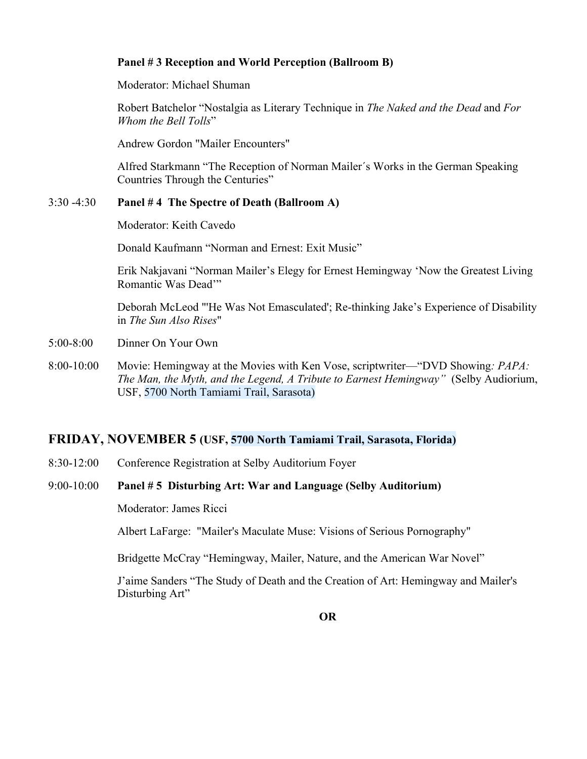## **Panel # 3 Reception and World Perception (Ballroom B)**

Moderator: Michael Shuman

Robert Batchelor "Nostalgia as Literary Technique in *The Naked and the Dead* and *For Whom the Bell Tolls*"

Andrew Gordon "Mailer Encounters"

Alfred Starkmann "The Reception of Norman Mailer´s Works in the German Speaking Countries Through the Centuries"

## 3:30 -4:30 **Panel # 4 The Spectre of Death (Ballroom A)**

Moderator: Keith Cavedo

Donald Kaufmann "Norman and Ernest: Exit Music"

Erik Nakjavani "Norman Mailer's Elegy for Ernest Hemingway 'Now the Greatest Living Romantic Was Dead'"

Deborah McLeod "'He Was Not Emasculated'; Re-thinking Jake's Experience of Disability in *The Sun Also Rises*"

- 5:00-8:00 Dinner On Your Own
- 8:00-10:00 Movie: Hemingway at the Movies with Ken Vose, scriptwriter—"DVD Showing*: PAPA: The Man, the Myth, and the Legend, A Tribute to Earnest Hemingway"* (Selby Audiorium, USF, 5700 North Tamiami Trail, Sarasota)

## **FRIDAY, NOVEMBER 5 (USF, 5700 North Tamiami Trail, Sarasota, Florida)**

8:30-12:00 Conference Registration at Selby Auditorium Foyer

#### 9:00-10:00 **Panel # 5 Disturbing Art: War and Language (Selby Auditorium)**

Moderator: James Ricci

Albert LaFarge: "Mailer's Maculate Muse: Visions of Serious Pornography"

Bridgette McCray "Hemingway, Mailer, Nature, and the American War Novel"

J'aime Sanders "The Study of Death and the Creation of Art: Hemingway and Mailer's Disturbing Art"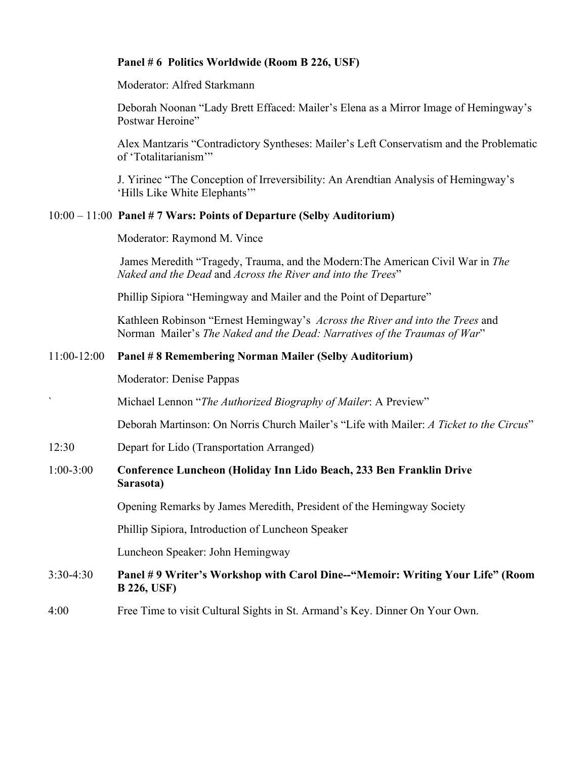## **Panel # 6 Politics Worldwide (Room B 226, USF)**

Moderator: Alfred Starkmann

Deborah Noonan "Lady Brett Effaced: Mailer's Elena as a Mirror Image of Hemingway's Postwar Heroine"

Alex Mantzaris "Contradictory Syntheses: Mailer's Left Conservatism and the Problematic of 'Totalitarianism'"

J. Yirinec "The Conception of Irreversibility: An Arendtian Analysis of Hemingway's 'Hills Like White Elephants'"

#### 10:00 – 11:00 **Panel # 7 Wars: Points of Departure (Selby Auditorium)**

Moderator: Raymond M. Vince

James Meredith "Tragedy, Trauma, and the Modern:The American Civil War in *The Naked and the Dead* and *Across the River and into the Trees*"

Phillip Sipiora "Hemingway and Mailer and the Point of Departure"

Kathleen Robinson "Ernest Hemingway's *Across the River and into the Trees* and Norman Mailer's *The Naked and the Dead: Narratives of the Traumas of War*"

## 11:00-12:00 **Panel # 8 Remembering Norman Mailer (Selby Auditorium)**

Moderator: Denise Pappas

` Michael Lennon "*The Authorized Biography of Mailer*: A Preview"

Deborah Martinson: On Norris Church Mailer's "Life with Mailer: *A Ticket to the Circus*"

12:30 Depart for Lido (Transportation Arranged)

#### 1:00-3:00 **Conference Luncheon (Holiday Inn Lido Beach, 233 Ben Franklin Drive Sarasota)**

Opening Remarks by James Meredith, President of the Hemingway Society

Phillip Sipiora, Introduction of Luncheon Speaker

Luncheon Speaker: John Hemingway

## 3:30-4:30 **Panel # 9 Writer's Workshop with Carol Dine--"Memoir: Writing Your Life" (Room B 226, USF)**

4:00 Free Time to visit Cultural Sights in St. Armand's Key. Dinner On Your Own.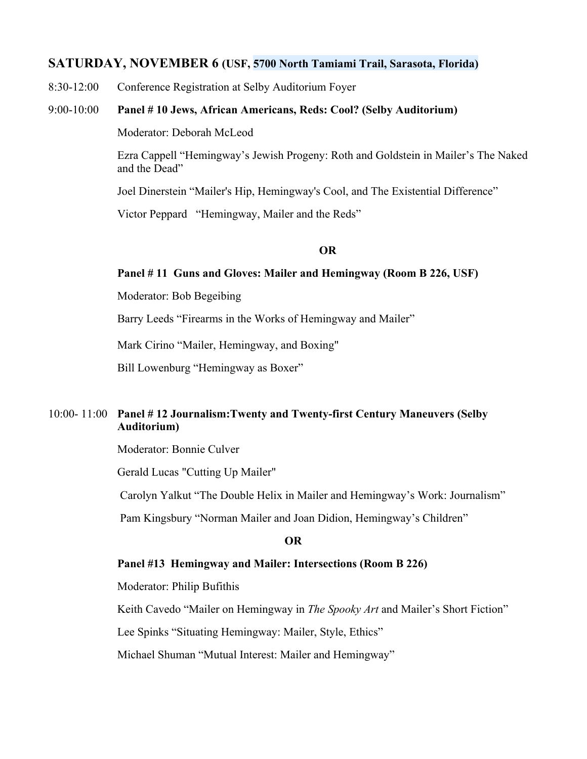## **SATURDAY, NOVEMBER 6 (USF, 5700 North Tamiami Trail, Sarasota, Florida)**

8:30-12:00 Conference Registration at Selby Auditorium Foyer

#### 9:00-10:00 **Panel # 10 Jews, African Americans, Reds: Cool? (Selby Auditorium)**

Moderator: Deborah McLeod

Ezra Cappell "Hemingway's Jewish Progeny: Roth and Goldstein in Mailer's The Naked and the Dead"

Joel Dinerstein "Mailer's Hip, Hemingway's Cool, and The Existential Difference"

Victor Peppard "Hemingway, Mailer and the Reds"

## **OR**

#### **Panel # 11 Guns and Gloves: Mailer and Hemingway (Room B 226, USF)**

Moderator: Bob Begeibing

Barry Leeds "Firearms in the Works of Hemingway and Mailer"

Mark Cirino "Mailer, Hemingway, and Boxing"

Bill Lowenburg "Hemingway as Boxer"

## 10:00- 11:00 **Panel # 12 Journalism:Twenty and Twenty-first Century Maneuvers (Selby Auditorium)**

Moderator: Bonnie Culver

Gerald Lucas "Cutting Up Mailer"

Carolyn Yalkut "The Double Helix in Mailer and Hemingway's Work: Journalism"

Pam Kingsbury "Norman Mailer and Joan Didion, Hemingway's Children"

#### **OR**

#### **Panel #13 Hemingway and Mailer: Intersections (Room B 226)**

Moderator: Philip Bufithis

Keith Cavedo "Mailer on Hemingway in *The Spooky Art* and Mailer's Short Fiction"

Lee Spinks "Situating Hemingway: Mailer, Style, Ethics"

Michael Shuman "Mutual Interest: Mailer and Hemingway"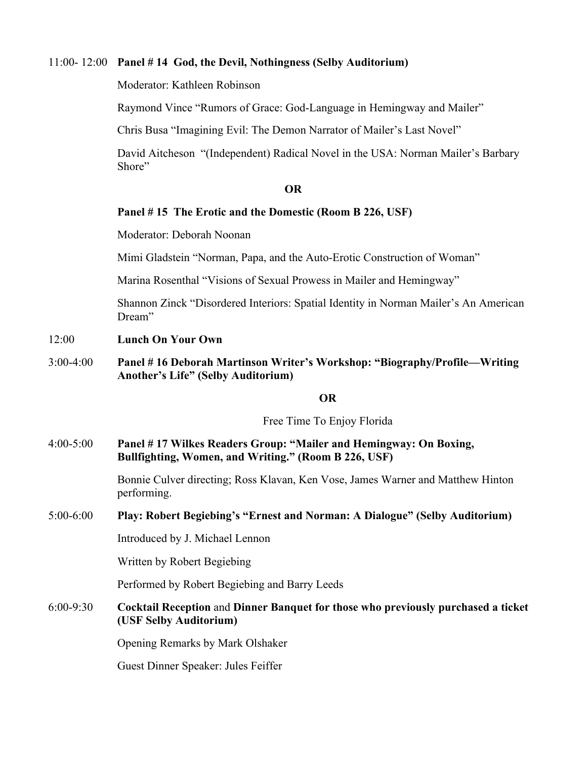#### 11:00- 12:00 **Panel # 14 God, the Devil, Nothingness (Selby Auditorium)**

Moderator: Kathleen Robinson

Raymond Vince "Rumors of Grace: God-Language in Hemingway and Mailer"

Chris Busa "Imagining Evil: The Demon Narrator of Mailer's Last Novel"

David Aitcheson "(Independent) Radical Novel in the USA: Norman Mailer's Barbary Shore"

#### **OR**

#### **Panel # 15 The Erotic and the Domestic (Room B 226, USF)**

Moderator: Deborah Noonan

Mimi Gladstein "Norman, Papa, and the Auto-Erotic Construction of Woman"

Marina Rosenthal "Visions of Sexual Prowess in Mailer and Hemingway"

Shannon Zinck "Disordered Interiors: Spatial Identity in Norman Mailer's An American Dream"

#### 12:00 **Lunch On Your Own**

3:00-4:00 **Panel # 16 Deborah Martinson Writer's Workshop: "Biography/Profile—Writing Another's Life" (Selby Auditorium)**

#### **OR**

Free Time To Enjoy Florida

4:00-5:00 **Panel # 17 Wilkes Readers Group: "Mailer and Hemingway: On Boxing, Bullfighting, Women, and Writing." (Room B 226, USF)**

> Bonnie Culver directing; Ross Klavan, Ken Vose, James Warner and Matthew Hinton performing.

#### 5:00-6:00 **Play: Robert Begiebing's "Ernest and Norman: A Dialogue" (Selby Auditorium)**

Introduced by J. Michael Lennon

Written by Robert Begiebing

Performed by Robert Begiebing and Barry Leeds

6:00-9:30 **Cocktail Reception** and **Dinner Banquet for those who previously purchased a ticket (USF Selby Auditorium)**

Opening Remarks by Mark Olshaker

Guest Dinner Speaker: Jules Feiffer